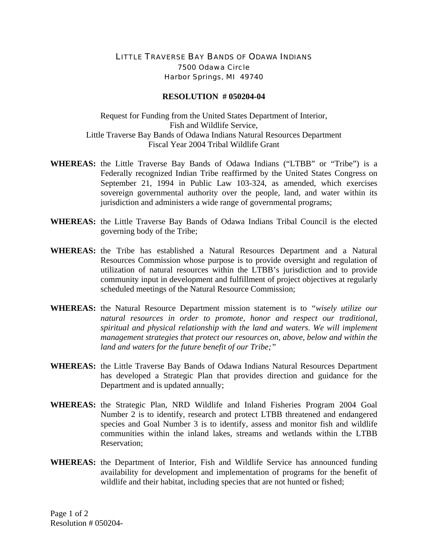## LITTLE TRAVERSE BAY BANDS OF ODAWA INDIANS 7500 Odawa Circle Harbor Springs, MI 49740

## **RESOLUTION # 050204-04**

Request for Funding from the United States Department of Interior, Fish and Wildlife Service, Little Traverse Bay Bands of Odawa Indians Natural Resources Department Fiscal Year 2004 Tribal Wildlife Grant

- **WHEREAS:** the Little Traverse Bay Bands of Odawa Indians ("LTBB" or "Tribe") is a Federally recognized Indian Tribe reaffirmed by the United States Congress on September 21, 1994 in Public Law 103-324, as amended, which exercises sovereign governmental authority over the people, land, and water within its jurisdiction and administers a wide range of governmental programs;
- **WHEREAS:** the Little Traverse Bay Bands of Odawa Indians Tribal Council is the elected governing body of the Tribe;
- **WHEREAS:** the Tribe has established a Natural Resources Department and a Natural Resources Commission whose purpose is to provide oversight and regulation of utilization of natural resources within the LTBB's jurisdiction and to provide community input in development and fulfillment of project objectives at regularly scheduled meetings of the Natural Resource Commission;
- **WHEREAS:** the Natural Resource Department mission statement is to *"wisely utilize our natural resources in order to promote, honor and respect our traditional, spiritual and physical relationship with the land and waters. We will implement management strategies that protect our resources on, above, below and within the land and waters for the future benefit of our Tribe;"*
- **WHEREAS:** the Little Traverse Bay Bands of Odawa Indians Natural Resources Department has developed a Strategic Plan that provides direction and guidance for the Department and is updated annually;
- **WHEREAS:** the Strategic Plan, NRD Wildlife and Inland Fisheries Program 2004 Goal Number 2 is to identify, research and protect LTBB threatened and endangered species and Goal Number 3 is to identify, assess and monitor fish and wildlife communities within the inland lakes, streams and wetlands within the LTBB Reservation;
- **WHEREAS:** the Department of Interior, Fish and Wildlife Service has announced funding availability for development and implementation of programs for the benefit of wildlife and their habitat, including species that are not hunted or fished;